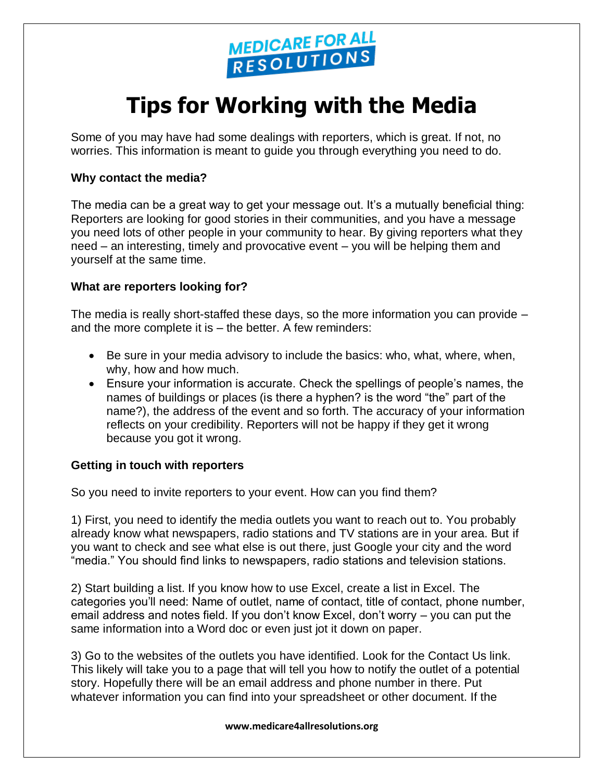

# **Tips for Working with the Media**

Some of you may have had some dealings with reporters, which is great. If not, no worries. This information is meant to guide you through everything you need to do.

# **Why contact the media?**

The media can be a great way to get your message out. It's a mutually beneficial thing: Reporters are looking for good stories in their communities, and you have a message you need lots of other people in your community to hear. By giving reporters what they need – an interesting, timely and provocative event – you will be helping them and yourself at the same time.

## **What are reporters looking for?**

The media is really short-staffed these days, so the more information you can provide – and the more complete it is – the better. A few reminders:

- Be sure in your media advisory to include the basics: who, what, where, when, why, how and how much.
- Ensure your information is accurate. Check the spellings of people's names, the names of buildings or places (is there a hyphen? is the word "the" part of the name?), the address of the event and so forth. The accuracy of your information reflects on your credibility. Reporters will not be happy if they get it wrong because you got it wrong.

## **Getting in touch with reporters**

So you need to invite reporters to your event. How can you find them?

1) First, you need to identify the media outlets you want to reach out to. You probably already know what newspapers, radio stations and TV stations are in your area. But if you want to check and see what else is out there, just Google your city and the word "media." You should find links to newspapers, radio stations and television stations.

2) Start building a list. If you know how to use Excel, create a list in Excel. The categories you'll need: Name of outlet, name of contact, title of contact, phone number, email address and notes field. If you don't know Excel, don't worry – you can put the same information into a Word doc or even just jot it down on paper.

3) Go to the websites of the outlets you have identified. Look for the Contact Us link. This likely will take you to a page that will tell you how to notify the outlet of a potential story. Hopefully there will be an email address and phone number in there. Put whatever information you can find into your spreadsheet or other document. If the

#### **www.medicare4allresolutions.org**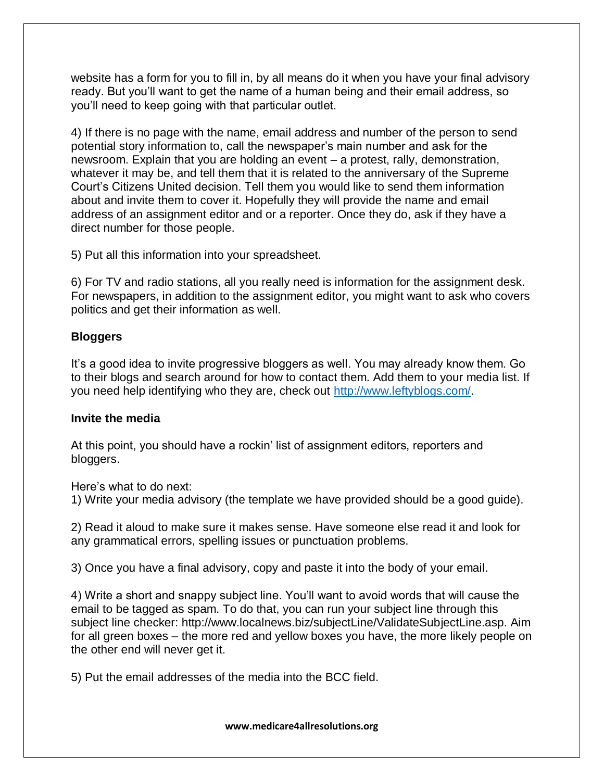website has a form for you to fill in, by all means do it when you have your final advisory ready. But you'll want to get the name of a human being and their email address, so you'll need to keep going with that particular outlet.

4) If there is no page with the name, email address and number of the person to send potential story information to, call the newspaper's main number and ask for the newsroom. Explain that you are holding an event – a protest, rally, demonstration, whatever it may be, and tell them that it is related to the anniversary of the Supreme Court's Citizens United decision. Tell them you would like to send them information about and invite them to cover it. Hopefully they will provide the name and email address of an assignment editor and or a reporter. Once they do, ask if they have a direct number for those people.

5) Put all this information into your spreadsheet.

6) For TV and radio stations, all you really need is information for the assignment desk. For newspapers, in addition to the assignment editor, you might want to ask who covers politics and get their information as well.

# **Bloggers**

It's a good idea to invite progressive bloggers as well. You may already know them. Go to their blogs and search around for how to contact them. Add them to your media list. If you need help identifying who they are, check out [http://www.leftyblogs.com/.](http://www.leftyblogs.com/)

# **Invite the media**

At this point, you should have a rockin' list of assignment editors, reporters and bloggers.

Here's what to do next:

1) Write your media advisory (the template we have provided should be a good guide).

2) Read it aloud to make sure it makes sense. Have someone else read it and look for any grammatical errors, spelling issues or punctuation problems.

3) Once you have a final advisory, copy and paste it into the body of your email.

4) Write a short and snappy subject line. You'll want to avoid words that will cause the email to be tagged as spam. To do that, you can run your subject line through this subject line checker: http://www.localnews.biz/subjectLine/ValidateSubjectLine.asp. Aim for all green boxes – the more red and yellow boxes you have, the more likely people on the other end will never get it.

5) Put the email addresses of the media into the BCC field.